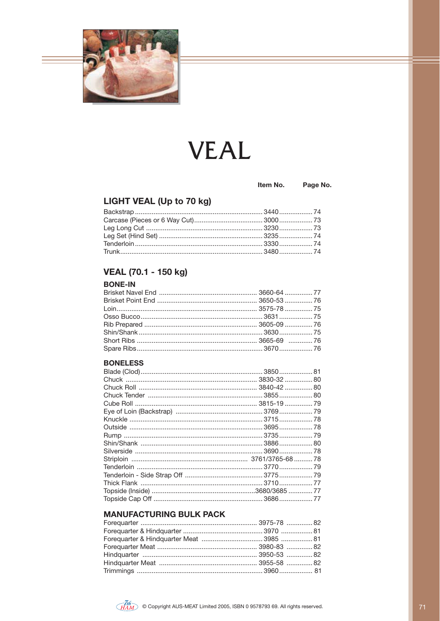

# **VEAL**

#### Item No.

Page No.

### LIGHT VEAL (Up to 70 kg)

#### VEAL (70.1 - 150 kg)

#### **BONE-IN**

#### **BONELESS**

#### **MANUFACTURING BULK PACK**

| Forequarter & Hindquarter Meat 3985  81 |  |
|-----------------------------------------|--|
|                                         |  |
|                                         |  |
|                                         |  |
|                                         |  |
|                                         |  |

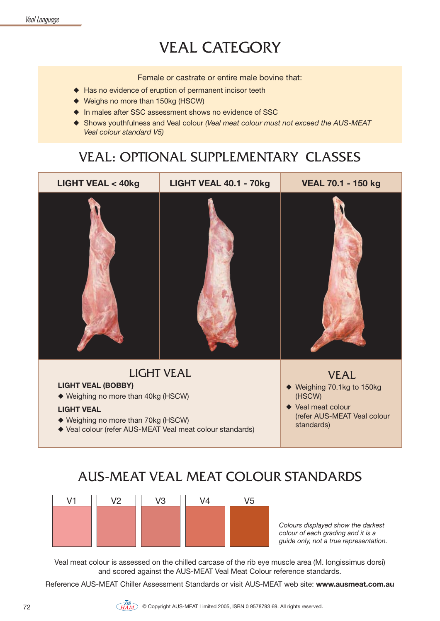### VEAL CATEGORY

Female or castrate or entire male bovine that:

- $\triangle$  Has no evidence of eruption of permanent incisor teeth
- $\blacklozenge$  Weighs no more than 150kg (HSCW)
- ♦ In males after SSC assessment shows no evidence of SSC
- ◆ Shows youthfulness and Veal colour *(Veal meat colour must not exceed the AUS-MEAT Veal colour standard V5)*

### VEAL: OPTIONAL SUPPLEMENTARY CLASSES



### AUS-MEAT VEAL MEAT COLOUR STANDARDS

| 174 | V <sub>2</sub> | V <sub>3</sub> | V <sub>4</sub> | V <sub>5</sub> |
|-----|----------------|----------------|----------------|----------------|
|     |                |                |                |                |
|     |                |                |                |                |
|     |                |                |                |                |

*Colours displayed show the darkest colour of each grading and it is a guide only, not a true representation.*

Veal meat colour is assessed on the chilled carcase of the rib eye muscle area (M. longissimus dorsi) and scored against the AUS-MEAT Veal Meat Colour reference standards.

Reference AUS-MEAT Chiller Assessment Standards or visit AUS-MEAT web site: **www.ausmeat.com.au**

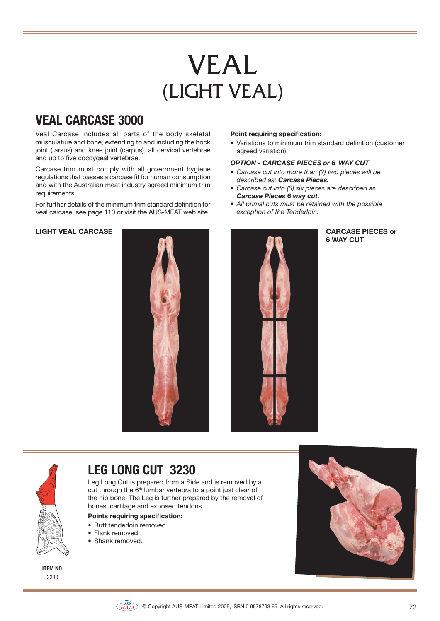# VEAL<br>(LIGHT VEAL)

### **VEAL CARCASE 3000**

Veal Carcase includes all parts of the body skeletal musculature and bone, extending to and including the hock joint (tarsus) and knee joint (carpus), all cervical vertebrae and up to five coccygeal vertebrae.

Carcase trim must comply with all government hygiene regulations that passes a carcase fit for human consumption and with the Australian meat industry agreed minimum trim requirements.

For further details of the minimum trim standard definition for Veal carcase, see page 110 or visit the AUS-MEAT web site.

#### **Point requiring specification:**

• Variations to minimum trim standard definition (customer agreed variation).

#### *OPTION - CARCASE PIECES or 6 WAY CUT*

- Carcase cut into more than (2) two pieces will be *described as: Carcase Pieces.*
- Carcase cut into (6) six pieces are described as: *Carcase Pieces 6 way cut.*
- All primal cuts must be retained with the possible *exception of the Tenderloin.*



### **6 WAY CUT**



### **LEG LONG CUT 3230**

Leg Long Cut is prepared from a Side and is removed by a cut through the  $6<sup>th</sup>$  lumbar vertebra to a point just clear of the hip bone. The Leg is further prepared by the removal of bones, cartilage and exposed tendons.

#### **Points requiring specification:**

- · Butt tenderloin removed.
- $\bullet$  Flank removed
- Shank removed.





#### $\widetilde{\chi}_{HAM}^{(th)}$  © Copyright AUS-MEAT Limited 2005, ISBN 0 9578793 69. All rights reserved.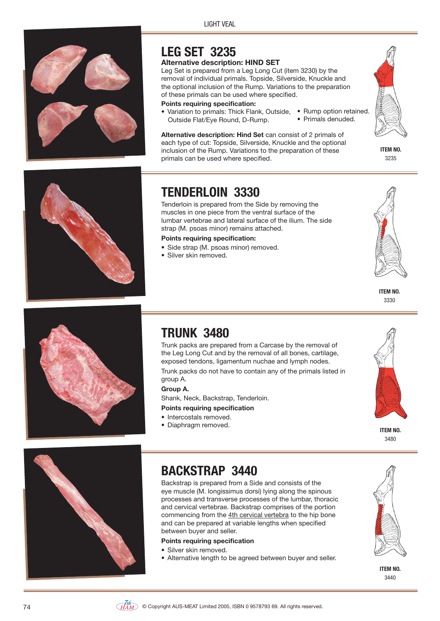LIGHT VEAL



### **LEG SET 3235**

#### **Alternative description: HIND SET**

Leg Set is prepared from a Leg Long Cut (item 3230) by the removal of individual primals. Topside, Silverside, Knuckle and the optional inclusion of the Rump. Variations to the preparation of these primals can be used where specified.

#### **Points requiring specification:**

• Variation to primals: Thick Flank, Outside, • Rump option retained. Outside Flat/Eye Round, D-Rump. • Primals denuded.

**Alternative description: Hind Set** can consist of 2 primals of each type of cut: Topside, Silverside, Knuckle and the optional inclusion of the Rump. Variations to the preparation of these primals can be used where specified.



**ITEM NO.** 3235





### **TENDERLOIN 3330**

Tenderloin is prepared from the Side by removing the muscles in one piece from the ventral surface of the lumbar vertebrae and lateral surface of the ilium. The side strap (M. psoas minor) remains attached.

#### **Points requiring specification:**

- Side strap (M. psoas minor) removed.
- Silver skin removed.



### **TRUNK 3480**

Trunk packs are prepared from a Carcase by the removal of the Leg Long Cut and by the removal of all bones, cartilage, exposed tendons, ligamentum nuchae and lymph nodes.

Trunk packs do not have to contain any of the primals listed in group A.

**Group A.**

Shank, Neck, Backstrap, Tenderloin.

**Points requiring specification**

- Intercostals removed.
- Diaphragm removed.



**ITEM NO.** 3480



### **BACKSTRAP 3440**

Backstrap is prepared from a Side and consists of the eye muscle (M. longissimus dorsi) lying along the spinous processes and transverse processes of the lumbar, thoracic and cervical vertebrae. Backstrap comprises of the portion commencing from the 4th cervical vertebra to the hip bone and can be prepared at variable lengths when specified between buyer and seller.

#### **Points requiring specification**

- Silver skin removed.
- Alternative length to be agreed between buyer and seller.



**ITEM NO.** 3440

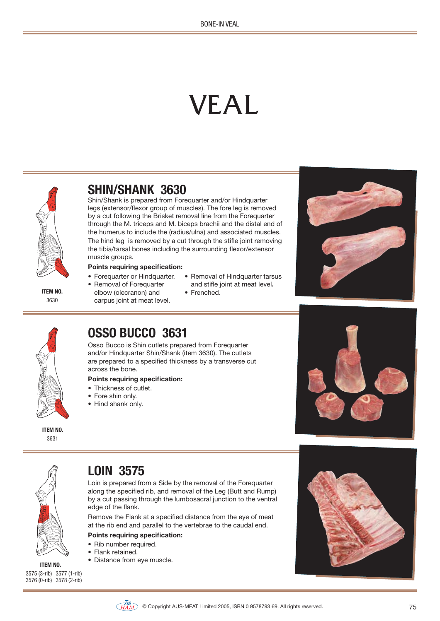# VEAL



**ITEM NO.** 3630

### **SHIN/SHANK 3630**

Shin/Shank is prepared from Forequarter and/or Hindquarter legs (extensor/flexor group of muscles). The fore leg is removed by a cut following the Brisket removal line from the Forequarter through the M. triceps and M. biceps brachii and the distal end of the humerus to include the (radius/ulna) and associated muscles. The hind leg is removed by a cut through the stifle joint removing the tibia/tarsal bones including the surrounding flexor/extensor muscle groups.

#### **Points requiring specification:**

- Forequarter or Hindquarter.
- Removal of Forequarter elbow (olecranon) and carpus joint at meat level.
- Removal of Hindquarter tarsus
- and stifle joint at meat level**.** • Frenched.
- 



### **OSSO BUCCO 3631**

Osso Bucco is Shin cutlets prepared from Forequarter and/or Hindquarter Shin/Shank (item 3630). The cutlets are prepared to a specified thickness by a transverse cut across the bone.

#### **Points requiring specification:**

- Thickness of cutlet.
- Fore shin only.
- Hind shank only.



- 
- 
- 







### **LOIN 3575**

Loin is prepared from a Side by the removal of the Forequarter along the specified rib, and removal of the Leg (Butt and Rump) by a cut passing through the lumbosacral junction to the ventral edge of the flank.

Remove the Flank at a specified distance from the eye of meat at the rib end and parallel to the vertebrae to the caudal end.

#### **Points requiring specification:**

- Rib number required.
- Flank retained.
- **ITEM NO.**  $\bullet$  Distance from eye muscle.



3575 (3-rib) 3577 (1-rib) 3576 (0-rib) 3578 (2-rib)

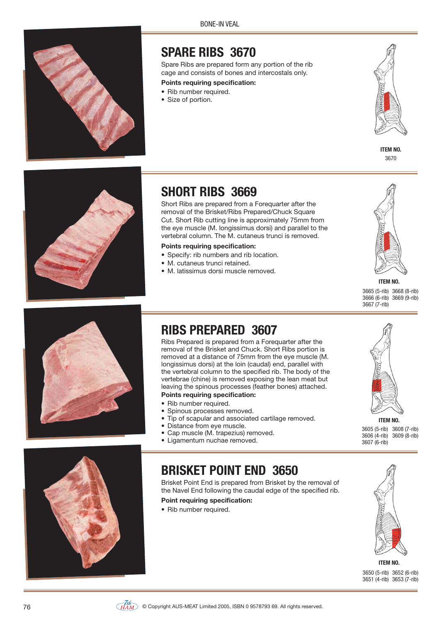**RONE-IN VEAL** 



### **SPARE RIBS 3670**

Spare Ribs are prepared form any portion of the rib cage and consists of bones and intercostals only.

#### **Points requiring specification:**

- Rib number required.
- Size of portion.







### **SHORT RIBS 3669**

Short Ribs are prepared from a Forequarter after the removal of the Brisket/Ribs Prepared/Chuck Square Cut. Short Rib cutting line is approximately 75mm from the eye muscle (M. longissimus dorsi) and parallel to the vertebral column. The M. cutaneus trunci is removed.

#### **Points requiring specification:**

- Specify: rib numbers and rib location.
- M. cutaneus trunci retained.
- M. latissimus dorsi muscle removed.



**ITEM NO.** 3665 (5-rib) 3668 (8-rib) 3666 (6-rib) 3669 (9-rib)  $3667(7-rib)$ 



### **RIBS PREPARED 3607**

Ribs Prepared is prepared from a Forequarter after the removal of the Brisket and Chuck. Short Ribs portion is removed at a distance of 75mm from the eye muscle (M. longissimus dorsi) at the loin (caudal) end, parallel with the vertebral column to the specified rib. The body of the vertebrae (chine) is removed exposing the lean meat but leaving the spinous processes (feather bones) attached. **Points requiring specification:**

- Rib number required.
- 
- Spinous processes removed.<br>• Tip of scapular and associate Tip of scapular and associated cartilage removed.
- Distance from eye muscle.
- Cap muscle (M. trapezius) removed.
- Ligamentum nuchae removed.



Brisket Point End is prepared from Brisket by the removal of the Navel End following the caudal edge of the specified rib.

#### **Point requiring specification:**

• Rib number required.



**ITEM NO.** 3605 (5-rib) 3608 (7-rib) 3606 (4-rib) 3609 (8-rib) 3607 (6-rib)





**ITEM NO.** 3650 (5-rib) 3652 (6-rib) 3651 (4-rib) 3653 (7-rib)

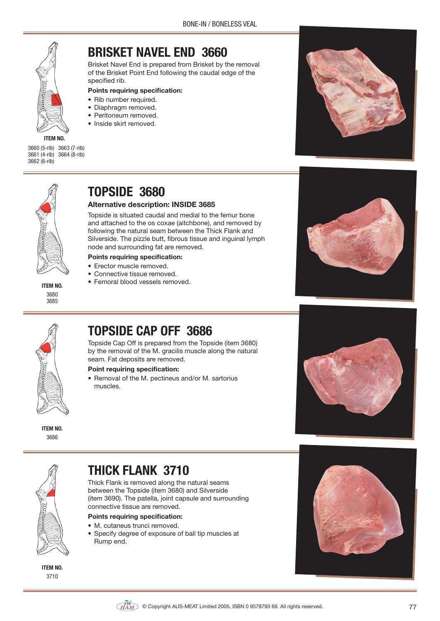

**ITEM NO.**

3660 (5-rib) 3663 (7-rib) 3661 (4-rib) 3664 (8-rib) 3662 (6-rib)

### **BRISKET NAVEL END 3660**

Brisket Navel End is prepared from Brisket by the removal of the Brisket Point End following the caudal edge of the specified rib.

#### **Points requiring specification:**

- Rib number required.
- · Diaphragm removed.
- Peritoneum removed.
- Inside skirt removed.







**ITEM NO.** 3680 3685

### **TOPSIDE 3680**

#### **Alternative description: INSIDE 3685**

Topside is situated caudal and medial to the femur bone and attached to the os coxae (aitchbone), and removed by following the natural seam between the Thick Flank and Silverside. The pizzle butt, fibrous tissue and inguinal lymph node and surrounding fat are removed.

- **Points requiring specification:**
- Frector muscle removed.
- Connective tissue removed.
- Femoral blood vessels removed.





**ITEM NO.** 3686

### **TOPSIDE CAP OFF 3686**

Topside Cap Off is prepared from the Topside (item 3680) by the removal of the M. gracilis muscle along the natural seam. Fat deposits are removed.

#### **Point requiring specification:**

• Removal of the M. pectineus and/or M. sartorius muscles.





**ITEM NO.** 3710

### **THICK FLANK 3710**

Thick Flank is removed along the natural seams between the Topside (item 3680) and Silverside (item 3690). The patella, joint capsule and surrounding connective tissue are removed.

#### **Points requiring specification:**

- M. cutaneus trunci removed.
- Specify degree of exposure of ball tip muscles at Rump end.



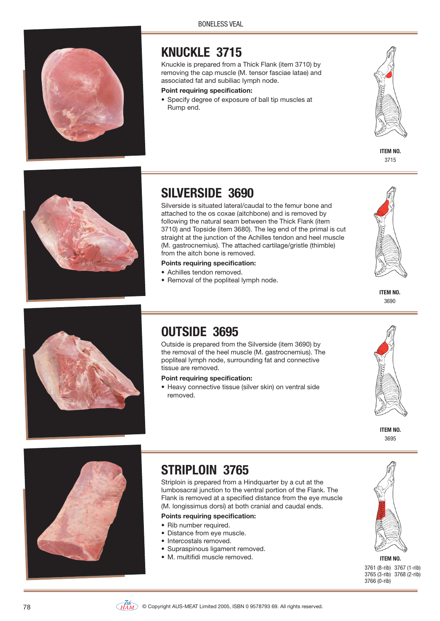

### **KNUCKLE 3715**

Knuckle is prepared from a Thick Flank (item 3710) by removing the cap muscle (M. tensor fasciae latae) and associated fat and subiliac lymph node.

#### **Point requiring specification:**

• Specify degree of exposure of ball tip muscles at Rump end.



**ITEM NO.** 3715



### **SILVERSIDE 3690**

Silverside is situated lateral/caudal to the femur bone and attached to the os coxae (aitchbone) and is removed by following the natural seam between the Thick Flank (item 3710) and Topside (item 3680). The leg end of the primal is cut straight at the junction of the Achilles tendon and heel muscle (M. gastrocnemius). The attached cartilage/gristle (thimble) from the aitch bone is removed.

#### **Points requiring specification:**

- Achilles tendon removed.
- Removal of the popliteal lymph node.



**ITEM NO.** 3690



### **OUTSIDE 3695**

Outside is prepared from the Silverside (item 3690) by the removal of the heel muscle (M. gastrocnemius). The popliteal lymph node, surrounding fat and connective tissue are removed.

#### **Point requiring specification:**

• Heavy connective tissue (silver skin) on ventral side removed.



**ITEM NO.** 3695



### **STRIPLOIN 3765**

Striploin is prepared from a Hindquarter by a cut at the lumbosacral junction to the ventral portion of the Flank. The Flank is removed at a specified distance from the eye muscle (M. longissimus dorsi) at both cranial and caudal ends.

#### **Points requiring specification:**

- Rib number required.
- Distance from eye muscle.
- Intercostals removed.
- Supraspinous ligament removed.
- M. multifidi muscle removed. **ITEM NO.** ITEM NO.



3761 (8-rib) 3767 (1-rib) 3765 (3-rib) 3768 (2-rib) 3766 (0-rib)

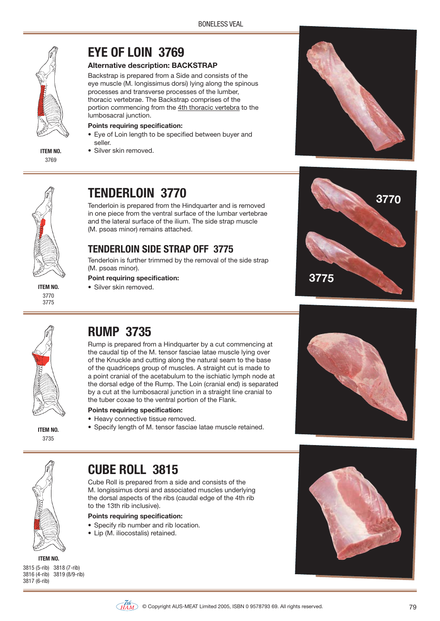

3769

### **EYE OF LOIN 3769**

#### **Alternative description: BACKSTRAP**

Backstrap is prepared from a Side and consists of the eye muscle (M. longissimus dorsi) lying along the spinous processes and transverse processes of the lumber, thoracic vertebrae. The Backstrap comprises of the portion commencing from the 4th thoracic vertebra to the lumbosacral junction.

#### **Points requiring specification:**

- Eye of Loin length to be specified between buyer and seller.
- **ITEM NO.** · Silver skin removed.





3770 3775

### **TENDERLOIN 3770**

Tenderloin is prepared from the Hindquarter and is removed in one piece from the ventral surface of the lumbar vertebrae and the lateral surface of the ilium. The side strap muscle (M. psoas minor) remains attached.

### **TENDERLOIN SIDE STRAP OFF 3775**

Tenderloin is further trimmed by the removal of the side strap (M. psoas minor).

#### **Point requiring specification:**

**ITEM NO.** · Silver skin removed.





3735

### **RUMP 3735**

Rump is prepared from a Hindquarter by a cut commencing at the caudal tip of the M. tensor fasciae latae muscle lying over of the Knuckle and cutting along the natural seam to the base of the quadriceps group of muscles. A straight cut is made to a point cranial of the acetabulum to the ischiatic lymph node at the dorsal edge of the Rump. The Loin (cranial end) is separated by a cut at the lumbosacral junction in a straight line cranial to the tuber coxae to the ventral portion of the Flank.

#### **Points requiring specification:**

- Heavy connective tissue removed.
- **ITEM NO.** Specify length of M. tensor fasciae latae muscle retained.





### **CUBE ROLL 3815**

Cube Roll is prepared from a side and consists of the M. longissimus dorsi and associated muscles underlying the dorsal aspects of the ribs (caudal edge of the 4th rib to the 13th rib inclusive).

#### **Points requiring specification:**

- Specify rib number and rib location.
- Lip (M. iliocostalis) retained.







#### $\widetilde{\chi}_{HAM}^{(th)}$  © Copyright AUS-MEAT Limited 2005, ISBN 0 9578793 69. All rights reserved.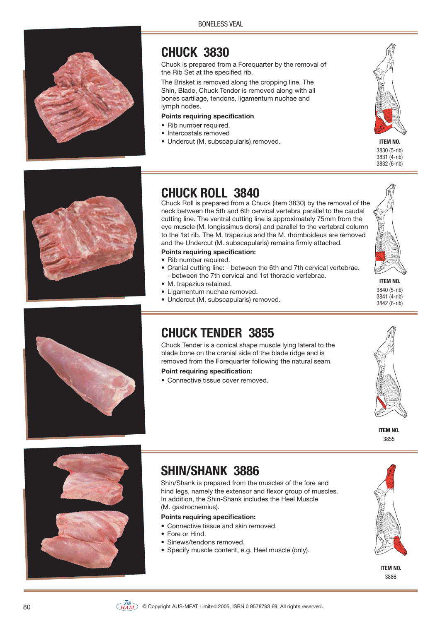

### **CHUCK 3830**

Chuck is prepared from a Forequarter by the removal of the Rib Set at the specified rib.

The Brisket is removed along the cropping line. The Shin, Blade, Chuck Tender is removed along with all bones cartilage, tendons, ligamentum nuchae and lymph nodes.

#### **Points requiring specification**

- Rib number required.
- Intercostals removed
- Undercut (M. subscapularis) removed. **ITEM NO.** ITEM NO.



3830 (5-rib) 3831 (4-rib) 3832 (6-rib)



### **CHUCK ROLL 3840**

Chuck Roll is prepared from a Chuck (item 3830) by the removal of the neck between the 5th and 6th cervical vertebra parallel to the caudal cutting line. The ventral cutting line is approximately 75mm from the eye muscle (M. longissimus dorsi) and parallel to the vertebral column to the 1st rib. The M. trapezius and the M. rhomboideus are removed and the Undercut (M. subscapularis) remains firmly attached.

#### **Points requiring specification:**

- Rib number required.
- Cranial cutting line: between the 6th and 7th cervical vertebrae. - between the 7th cervical and 1st thoracic vertebrae.
- M. trapezius retained.
- Ligamentum nuchae removed.
- Undercut (M. subscapularis) removed.

**ITEM NO.** 3840 (5-rib)  $3841 (4 - rih)$ 3842 (6-rib)



### **CHUCK TENDER 3855**

Chuck Tender is a conical shape muscle lying lateral to the blade bone on the cranial side of the blade ridge and is removed from the Forequarter following the natural seam.

#### **Point requiring specification:**

• Connective tissue cover removed.



**ITEM NO.** 3855



### **SHIN/SHANK 3886**

Shin/Shank is prepared from the muscles of the fore and hind legs, namely the extensor and flexor group of muscles. In addition, the Shin-Shank includes the Heel Muscle (M. gastrocnemius).

#### **Points requiring specification:**

- Connective tissue and skin removed.
- Fore or Hind.
- Sinews/tendons removed.
- Specify muscle content, e.g. Heel muscle (only).



**ITEM NO.** 3886

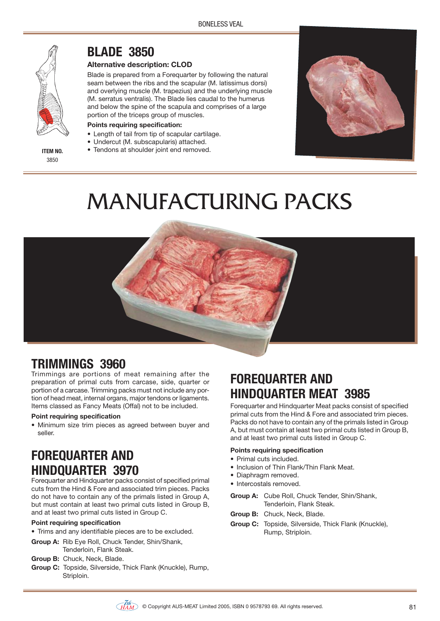

3850

**BLADE 3850**

#### **Alternative description: CLOD**

Blade is prepared from a Forequarter by following the natural seam between the ribs and the scapular (M. latissimus dorsi) and overlying muscle (M. trapezius) and the underlying muscle (M. serratus ventralis). The Blade lies caudal to the humerus and below the spine of the scapula and comprises of a large portion of the triceps group of muscles.

#### **Points requiring specification:**

- Length of tail from tip of scapular cartilage.
- Undercut (M. subscapularis) attached.
- **ITEM NO.** Tendons at shoulder joint end removed.



## MANUFACTURING PACKS



Trimmings are portions of meat remaining after the preparation of primal cuts from carcase, side, quarter or portion of a carcase. Trimming packs must not include any portion of head meat, internal organs, major tendons or ligaments. Items classed as Fancy Meats (Offal) not to be included.

#### **Point requiring specification**

• Minimum size trim pieces as agreed between buyer and seller.

### **FOREQUARTER AND HINDQUARTER 3970**

Forequarter and Hindquarter packs consist of specified primal cuts from the Hind & Fore and associated trim pieces. Packs do not have to contain any of the primals listed in Group A, but must contain at least two primal cuts listed in Group B, and at least two primal cuts listed in Group C.

#### **Point requiring specification**

- Trims and any identifiable pieces are to be excluded.
- **Group A:** Rib Eye Roll, Chuck Tender, Shin/Shank, Tenderloin, Flank Steak.
- **Group B:** Chuck, Neck, Blade.
- **Group C:** Topside, Silverside, Thick Flank (Knuckle), Rump, Striploin.

### **FOREQUARTER AND HINDQUARTER MEAT 3985**

Forequarter and Hindquarter Meat packs consist of specified primal cuts from the Hind & Fore and associated trim pieces. Packs do not have to contain any of the primals listed in Group A, but must contain at least two primal cuts listed in Group B, and at least two primal cuts listed in Group C.

#### **Points requiring specification**

- Primal cuts included.
- Inclusion of Thin Flank/Thin Flank Meat.
- Diaphragm removed.
- Intercostals removed.
- **Group A:** Cube Roll, Chuck Tender, Shin/Shank, Tenderloin, Flank Steak.
- **Group B:** Chuck, Neck, Blade.
- **Group C:** Topside, Silverside, Thick Flank (Knuckle), Rump, Striploin.